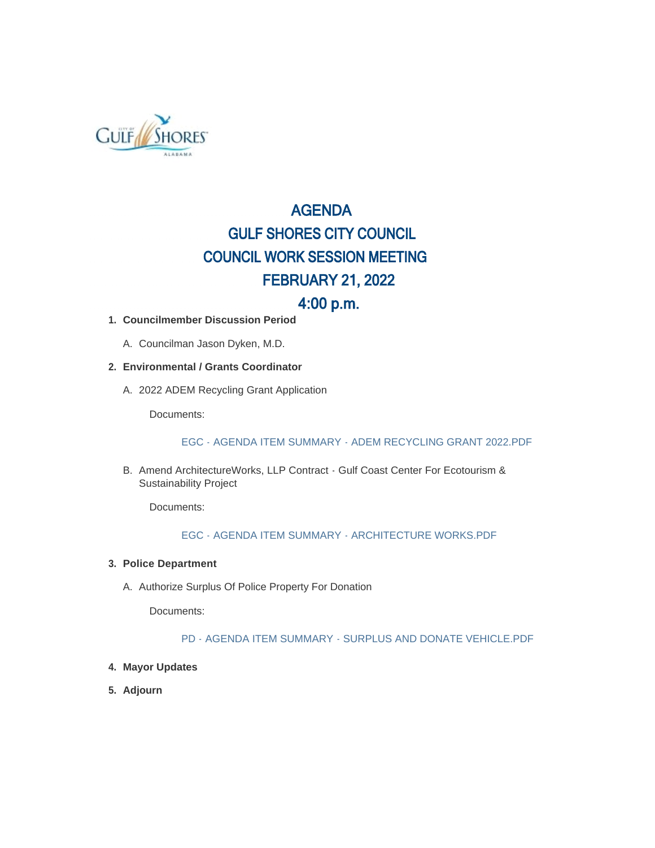

# AGENDA GULF SHORES CITY COUNCIL COUNCIL WORK SESSION MEETING FEBRUARY 21, 2022

## 4:00 p.m.

#### **Councilmember Discussion Period 1.**

A. Councilman Jason Dyken, M.D.

#### **Environmental / Grants Coordinator 2.**

2022 ADEM Recycling Grant Application A.

Documents:

#### EGC - AGENDA ITEM SUMMARY - ADEM RECYCLING GRANT 2022.PDF

B. Amend ArchitectureWorks, LLP Contract - Gulf Coast Center For Ecotourism & Sustainability Project

Documents:

#### EGC - AGENDA ITEM SUMMARY - ARCHITECTURE WORKS.PDF

#### **Police Department 3.**

A. Authorize Surplus Of Police Property For Donation

Documents:

#### PD - AGENDA ITEM SUMMARY - SURPLUS AND DONATE VEHICLE.PDF

#### **Mayor Updates 4.**

**Adjourn 5.**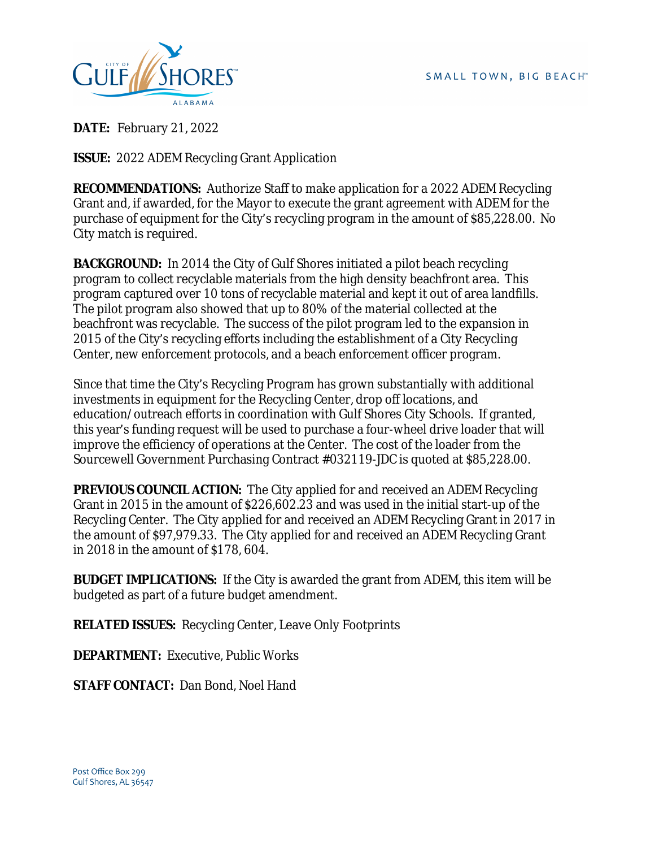

**DATE:** February 21, 2022

**ISSUE:** 2022 ADEM Recycling Grant Application

**RECOMMENDATIONS:** Authorize Staff to make application for a 2022 ADEM Recycling Grant and, if awarded, for the Mayor to execute the grant agreement with ADEM for the purchase of equipment for the City's recycling program in the amount of \$85,228.00. No City match is required.

**BACKGROUND:** In 2014 the City of Gulf Shores initiated a pilot beach recycling program to collect recyclable materials from the high density beachfront area. This program captured over 10 tons of recyclable material and kept it out of area landfills. The pilot program also showed that up to 80% of the material collected at the beachfront was recyclable. The success of the pilot program led to the expansion in 2015 of the City's recycling efforts including the establishment of a City Recycling Center, new enforcement protocols, and a beach enforcement officer program.

Since that time the City's Recycling Program has grown substantially with additional investments in equipment for the Recycling Center, drop off locations, and education/outreach efforts in coordination with Gulf Shores City Schools. If granted, this year's funding request will be used to purchase a four-wheel drive loader that will improve the efficiency of operations at the Center. The cost of the loader from the Sourcewell Government Purchasing Contract #032119-JDC is quoted at \$85,228.00.

**PREVIOUS COUNCIL ACTION:** The City applied for and received an ADEM Recycling Grant in 2015 in the amount of \$226,602.23 and was used in the initial start-up of the Recycling Center. The City applied for and received an ADEM Recycling Grant in 2017 in the amount of \$97,979.33. The City applied for and received an ADEM Recycling Grant in 2018 in the amount of \$178, 604.

**BUDGET IMPLICATIONS:** If the City is awarded the grant from ADEM, this item will be budgeted as part of a future budget amendment.

**RELATED ISSUES:** Recycling Center, Leave Only Footprints

**DEPARTMENT:** Executive, Public Works

**STAFF CONTACT:** Dan Bond, Noel Hand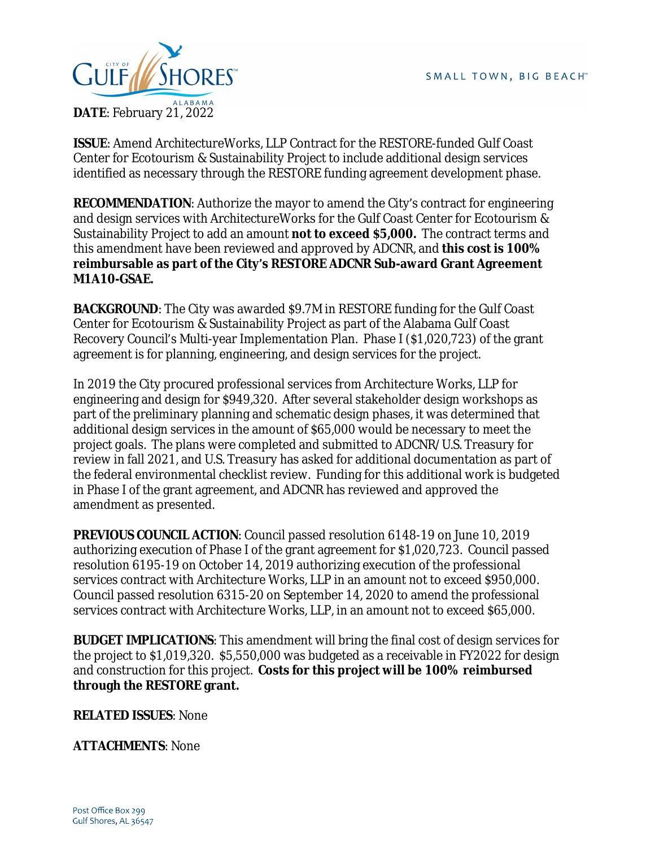

**ISSUE**: Amend ArchitectureWorks, LLP Contract for the RESTORE-funded Gulf Coast Center for Ecotourism & Sustainability Project to include additional design services identified as necessary through the RESTORE funding agreement development phase.

**RECOMMENDATION:** Authorize the mayor to amend the City's contract for engineering and design services with ArchitectureWorks for the Gulf Coast Center for Ecotourism & Sustainability Project to add an amount **not to exceed \$5,000.** The contract terms and this amendment have been reviewed and approved by ADCNR, and **this cost is 100% reimbursable as part of the City's RESTORE ADCNR Sub-award Grant Agreement M1A10-GSAE.**

**BACKGROUND:** The City was awarded \$9.7M in RESTORE funding for the Gulf Coast Center for Ecotourism & Sustainability Project as part of the Alabama Gulf Coast Recovery Council's Multi-year Implementation Plan. Phase I (\$1,020,723) of the grant agreement is for planning, engineering, and design services for the project.

In 2019 the City procured professional services from Architecture Works, LLP for engineering and design for \$949,320. After several stakeholder design workshops as part of the preliminary planning and schematic design phases, it was determined that additional design services in the amount of \$65,000 would be necessary to meet the project goals. The plans were completed and submitted to ADCNR/U.S. Treasury for review in fall 2021, and U.S. Treasury has asked for additional documentation as part of the federal environmental checklist review. Funding for this additional work is budgeted in Phase I of the grant agreement, and ADCNR has reviewed and approved the amendment as presented.

**PREVIOUS COUNCIL ACTION**: Council passed resolution 6148-19 on June 10, 2019 authorizing execution of Phase I of the grant agreement for \$1,020,723. Council passed resolution 6195-19 on October 14, 2019 authorizing execution of the professional services contract with Architecture Works, LLP in an amount not to exceed \$950,000. Council passed resolution 6315-20 on September 14, 2020 to amend the professional services contract with Architecture Works, LLP, in an amount not to exceed \$65,000.

**BUDGET IMPLICATIONS**: This amendment will bring the final cost of design services for the project to \$1,019,320. \$5,550,000 was budgeted as a receivable in FY2022 for design and construction for this project. **Costs for this project will be 100% reimbursed through the RESTORE grant.**

**RELATED ISSUES**: None

**ATTACHMENTS**: None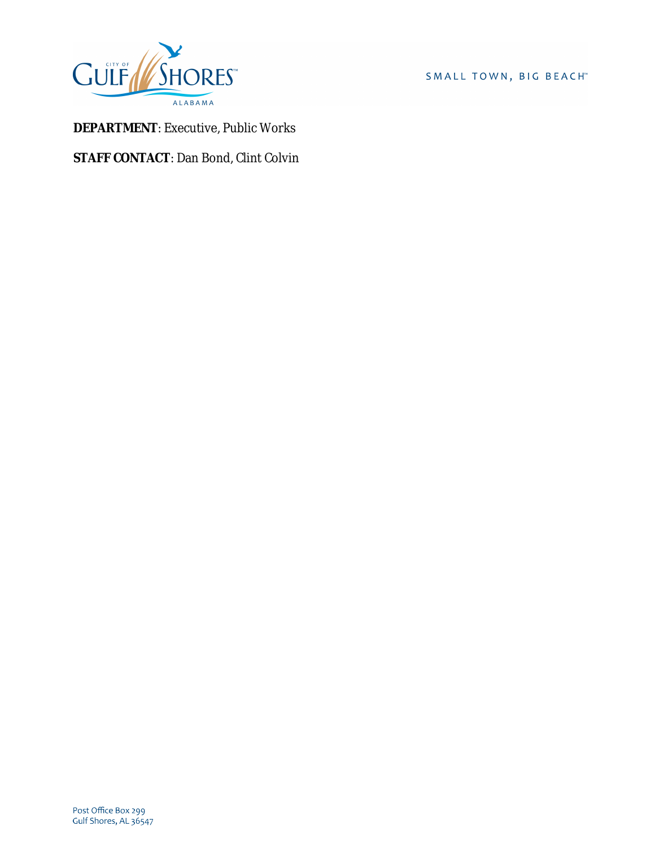

SMALL TOWN, BIG BEACH™

**DEPARTMENT**: Executive, Public Works

**STAFF CONTACT**: Dan Bond, Clint Colvin